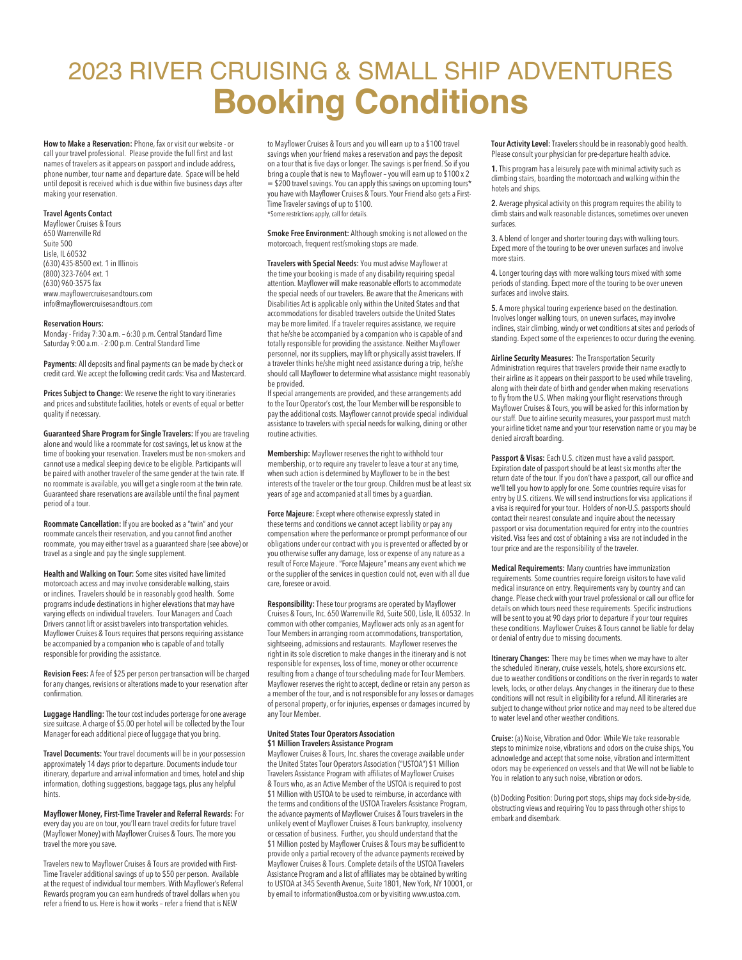# 2023 RIVER CRUISING & SMALL SHIP ADVENTURES **Booking Conditions**

**How to Make a Reservation:** Phone, fax or visit our website - or call your travel professional. Please provide the full first and last names of travelers as it appears on passport and include address, phone number, tour name and departure date. Space will be held until deposit is received which is due within five business days after making your reservation.

## **Travel Agents Contact**

Mayflower Cruises & Tours 650 Warrenville Rd Suite 500 Lisle, IL 60532 (630) 435-8500 ext. 1 in Illinois (800) 323-7604 ext. 1 (630) 960-3575 fax www.mayflowercruisesandtours.com info@mayflowercruisesandtours.com

#### **Reservation Hours:**

Monday - Friday 7:30 a.m. – 6:30 p.m. Central Standard Time Saturday 9:00 a.m. - 2:00 p.m. Central Standard Time

**Payments:** All deposits and final payments can be made by check or credit card. We accept the following credit cards: Visa and Mastercard.

**Prices Subject to Change:** We reserve the right to vary itineraries and prices and substitute facilities, hotels or events of equal or better quality if necessary.

**Guaranteed Share Program for Single Travelers:** If you are traveling alone and would like a roommate for cost savings, let us know at the time of booking your reservation. Travelers must be non-smokers and cannot use a medical sleeping device to be eligible. Participants will be paired with another traveler of the same gender at the twin rate. If no roommate is available, you will get a single room at the twin rate. Guaranteed share reservations are available until the final payment period of a tour.

**Roommate Cancellation:** If you are booked as a "twin" and your roommate cancels their reservation, and you cannot find another roommate, you may either travel as a guaranteed share (see above) or travel as a single and pay the single supplement.

**Health and Walking on Tour:** Some sites visited have limited motorcoach access and may involve considerable walking, stairs or inclines. Travelers should be in reasonably good health. Some programs include destinations in higher elevations that may have varying effects on individual travelers. Tour Managers and Coach Drivers cannot lift or assist travelers into transportation vehicles. Mayflower Cruises & Tours requires that persons requiring assistance be accompanied by a companion who is capable of and totally responsible for providing the assistance.

**Revision Fees:** A fee of \$25 per person per transaction will be charged for any changes, revisions or alterations made to your reservation after confirmation.

**Luggage Handling:** The tour cost includes porterage for one average size suitcase. A charge of \$5.00 per hotel will be collected by the Tour Manager for each additional piece of luggage that you bring.

**Travel Documents:** Your travel documents will be in your possession approximately 14 days prior to departure. Documents include tour itinerary, departure and arrival information and times, hotel and ship information, clothing suggestions, baggage tags, plus any helpful hints.

**Mayflower Money, First-Time Traveler and Referral Rewards:** For every day you are on tour, you'll earn travel credits for future travel (Mayflower Money) with Mayflower Cruises & Tours. The more you travel the more you save.

Travelers new to Mayflower Cruises & Tours are provided with First-Time Traveler additional savings of up to \$50 per person. Available at the request of individual tour members. With Mayflower's Referral Rewards program you can earn hundreds of travel dollars when you refer a friend to us. Here is how it works – refer a friend that is NEW

to Mayflower Cruises & Tours and you will earn up to a \$100 travel savings when your friend makes a reservation and pays the deposit on a tour that is five days or longer. The savings is per friend. So if you bring a couple that is new to Mayflower – you will earn up to \$100 x 2  $=$  \$200 travel savings. You can apply this savings on upcoming tours\* you have with Mayflower Cruises & Tours. Your Friend also gets a First-Time Traveler savings of up to \$100. \*Some restrictions apply, call for details.

**Smoke Free Environment:** Although smoking is not allowed on the motorcoach, frequent rest/smoking stops are made.

**Travelers with Special Needs:** You must advise Mayflower at the time your booking is made of any disability requiring special attention. Mayflower will make reasonable efforts to accommodate the special needs of our travelers. Be aware that the Americans with Disabilities Act is applicable only within the United States and that accommodations for disabled travelers outside the United States may be more limited. If a traveler requires assistance, we require that he/she be accompanied by a companion who is capable of and totally responsible for providing the assistance. Neither Mayflower personnel, nor its suppliers, may lift or physically assist travelers. If a traveler thinks he/she might need assistance during a trip, he/she should call Mayflower to determine what assistance might reasonably be provided.

If special arrangements are provided, and these arrangements add to the Tour Operator's cost, the Tour Member will be responsible to pay the additional costs. Mayflower cannot provide special individual assistance to travelers with special needs for walking, dining or other routine activities.

**Membership:** Mayflower reserves the right to withhold tour membership, or to require any traveler to leave a tour at any time, when such action is determined by Mayflower to be in the best interests of the traveler or the tour group. Children must be at least six years of age and accompanied at all times by a guardian.

**Force Majeure:** Except where otherwise expressly stated in these terms and conditions we cannot accept liability or pay any compensation where the performance or prompt performance of our obligations under our contract with you is prevented or affected by or you otherwise suffer any damage, loss or expense of any nature as a result of Force Majeure . "Force Majeure" means any event which we or the supplier of the services in question could not, even with all due care, foresee or avoid.

**Responsibility:** These tour programs are operated by Mayflower Cruises & Tours, Inc. 650 Warrenville Rd, Suite 500, Lisle, IL 60532. In common with other companies, Mayflower acts only as an agent for Tour Members in arranging room accommodations, transportation, sightseeing, admissions and restaurants. Mayflower reserves the right in its sole discretion to make changes in the itinerary and is not responsible for expenses, loss of time, money or other occurrence resulting from a change of tour scheduling made for Tour Members. Mayflower reserves the right to accept, decline or retain any person as a member of the tour, and is not responsible for any losses or damages of personal property, or for injuries, expenses or damages incurred by any Tour Member.

#### **United States Tour Operators Association \$1 Million Travelers Assistance Program**

Mayflower Cruises & Tours, Inc. shares the coverage available under the United States Tour Operators Association ("USTOA") \$1 Million Travelers Assistance Program with affiliates of Mayflower Cruises & Tours who, as an Active Member of the USTOA is required to post \$1 Million with USTOA to be used to reimburse, in accordance with the terms and conditions of the USTOA Travelers Assistance Program, the advance payments of Mayflower Cruises & Tours travelers in the unlikely event of Mayflower Cruises & Tours bankruptcy, insolvency or cessation of business. Further, you should understand that the \$1 Million posted by Mayflower Cruises & Tours may be sufficient to provide only a partial recovery of the advance payments received by Mayflower Cruises & Tours. Complete details of the USTOA Travelers Assistance Program and a list of affiliates may be obtained by writing to USTOA at 345 Seventh Avenue, Suite 1801, New York, NY 10001, or by email to information@ustoa.com or by visiting www.ustoa.com.

**Tour Activity Level:** Travelers should be in reasonably good health. Please consult your physician for pre-departure health advice.

**1.** This program has a leisurely pace with minimal activity such as climbing stairs, boarding the motorcoach and walking within the hotels and ships.

**2.** Average physical activity on this program requires the ability to climb stairs and walk reasonable distances, sometimes over uneven surfaces.

**3.** A blend of longer and shorter touring days with walking tours. Expect more of the touring to be over uneven surfaces and involve more stairs.

**4.** Longer touring days with more walking tours mixed with some periods of standing. Expect more of the touring to be over uneven surfaces and involve stairs.

**5.** A more physical touring experience based on the destination. Involves longer walking tours, on uneven surfaces, may involve inclines, stair climbing, windy or wet conditions at sites and periods of standing. Expect some of the experiences to occur during the evening.

**Airline Security Measures:** The Transportation Security Administration requires that travelers provide their name exactly to their airline as it appears on their passport to be used while traveling, along with their date of birth and gender when making reservations to fly from the U.S. When making your flight reservations through Mayflower Cruises & Tours, you will be asked for this information by our staff. Due to airline security measures, your passport must match your airline ticket name and your tour reservation name or you may be denied aircraft boarding.

**Passport & Visas:** Each U.S. citizen must have a valid passport. Expiration date of passport should be at least six months after the return date of the tour. If you don't have a passport, call our office and we'll tell you how to apply for one. Some countries require visas for entry by U.S. citizens. We will send instructions for visa applications if a visa is required for your tour. Holders of non-U.S. passports should contact their nearest consulate and inquire about the necessary passport or visa documentation required for entry into the countries visited. Visa fees and cost of obtaining a visa are not included in the tour price and are the responsibility of the traveler.

**Medical Requirements:** Many countries have immunization requirements. Some countries require foreign visitors to have valid medical insurance on entry. Requirements vary by country and can change. Please check with your travel professional or call our office for details on which tours need these requirements. Specific instructions will be sent to you at 90 days prior to departure if your tour requires these conditions. Mayflower Cruises & Tours cannot be liable for delay or denial of entry due to missing documents.

**Itinerary Changes:** There may be times when we may have to alter the scheduled itinerary, cruise vessels, hotels, shore excursions etc. due to weather conditions or conditions on the river in regards to water levels, locks, or other delays. Any changes in the itinerary due to these conditions will not result in eligibility for a refund. All itineraries are subject to change without prior notice and may need to be altered due to water level and other weather conditions.

**Cruise:** (a) Noise, Vibration and Odor: While We take reasonable steps to minimize noise, vibrations and odors on the cruise ships, You acknowledge and accept that some noise, vibration and intermittent odors may be experienced on vessels and that We will not be liable to You in relation to any such noise, vibration or odors.

(b) Docking Position: During port stops, ships may dock side-by-side, obstructing views and requiring You to pass through other ships to embark and disembark.